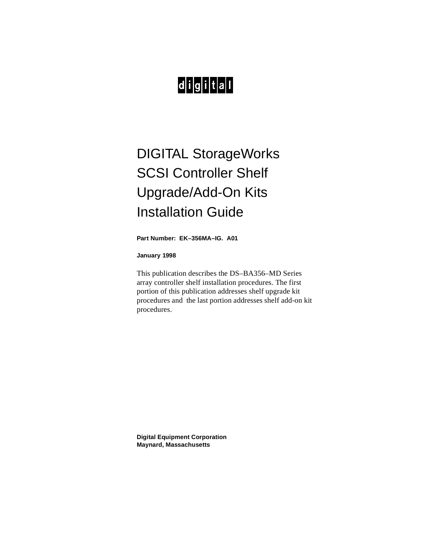# $d$  $|i|$ g $|i|$ t $|a|$ l

# DIGITAL StorageWorks SCSI Controller Shelf Upgrade/Add-On Kits Installation Guide

**Part Number: EK–356MA–IG. A01**

**January 1998**

This publication describes the DS–BA356–MD Series array controller shelf installation procedures. The first portion of this publication addresses shelf upgrade kit procedures and the last portion addresses shelf add-on kit procedures.

**Digital Equipment Corporation Maynard, Massachusetts**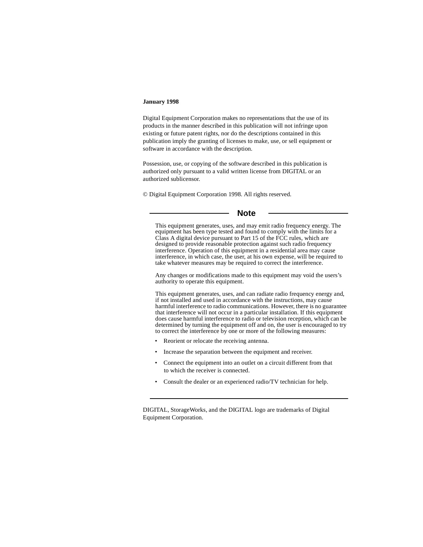#### **January 1998**

Digital Equipment Corporation makes no representations that the use of its products in the manner described in this publication will not infringe upon existing or future patent rights, nor do the descriptions contained in this publication imply the granting of licenses to make, use, or sell equipment or software in accordance with the description.

Possession, use, or copying of the software described in this publication is authorized only pursuant to a valid written license from DIGITAL or an authorized sublicensor.

© Digital Equipment Corporation 1998. All rights reserved.

**Note**

This equipment generates, uses, and may emit radio frequency energy. The equipment has been type tested and found to comply with the limits for a Class A digital device pursuant to Part 15 of the FCC rules, which are designed to provide reasonable protection against such radio frequency interference. Operation of this equipment in a residential area may cause interference, in which case, the user, at his own expense, will be required to take whatever measures may be required to correct the interference.

Any changes or modifications made to this equipment may void the users's authority to operate this equipment.

This equipment generates, uses, and can radiate radio frequency energy and, if not installed and used in accordance with the instructions, may cause harmful interference to radio communications. However, there is no guarantee that interference will not occur in a particular installation. If this equipment does cause harmful interference to radio or television reception, which can be determined by turning the equipment off and on, the user is encouraged to try to correct the interference by one or more of the following measures:

- Reorient or relocate the receiving antenna.
- Increase the separation between the equipment and receiver.
- Connect the equipment into an outlet on a circuit different from that to which the receiver is connected.
- Consult the dealer or an experienced radio/TV technician for help.

DIGITAL, StorageWorks, and the DIGITAL logo are trademarks of Digital Equipment Corporation.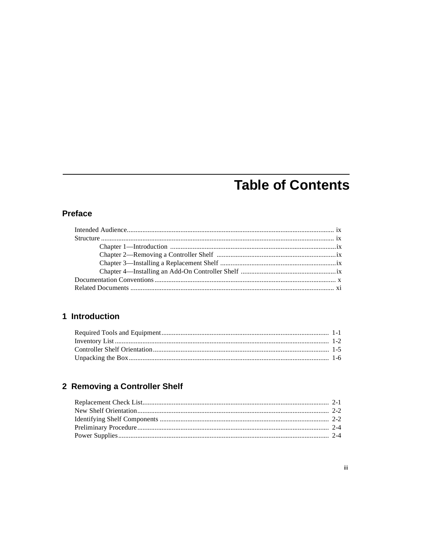# **Table of Contents**

# **Preface**

# 1 Introduction

# 2 Removing a Controller Shelf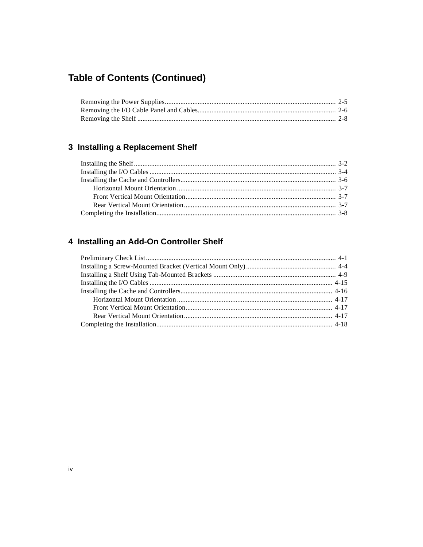# **Table of Contents (Continued)**

# 3 Installing a Replacement Shelf

# 4 Installing an Add-On Controller Shelf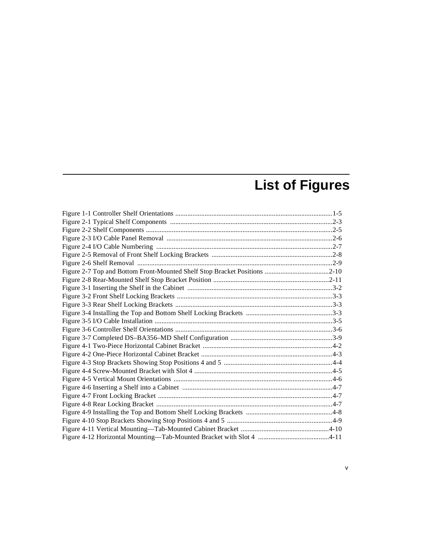# **List of Figures**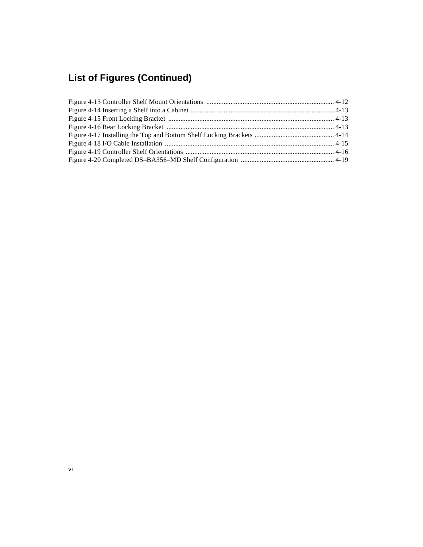# **List of Figures (Continued)**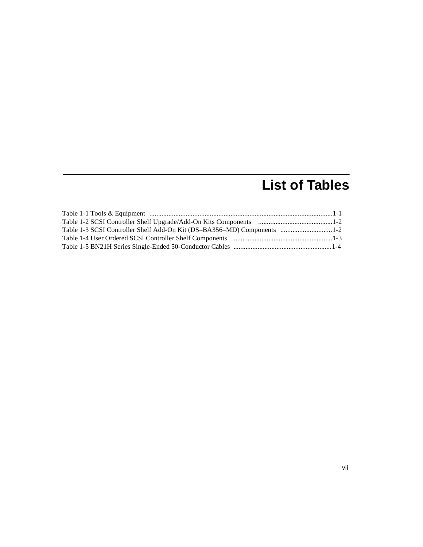# **List of Tables**

| Table 1-3 SCSI Controller Shelf Add-On Kit (DS-BA356-MD) Components 1-2 |  |
|-------------------------------------------------------------------------|--|
|                                                                         |  |
|                                                                         |  |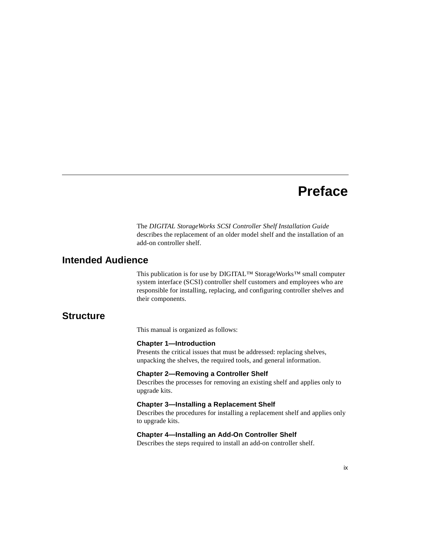# **Preface**

The *DIGITAL StorageWorks SCSI Controller Shelf Installation Guide* describes the replacement of an older model shelf and the installation of an add-on controller shelf.

# **Intended Audience**

This publication is for use by DIGITAL™ StorageWorks™ small computer system interface (SCSI) controller shelf customers and employees who are responsible for installing, replacing, and configuring controller shelves and their components.

# **Structure**

This manual is organized as follows:

#### **Chapter 1—Introduction**

Presents the critical issues that must be addressed: replacing shelves, unpacking the shelves, the required tools, and general information.

#### **Chapter 2—Removing a Controller Shelf**

Describes the processes for removing an existing shelf and applies only to upgrade kits.

## **Chapter 3—Installing a Replacement Shelf**

Describes the procedures for installing a replacement shelf and applies only to upgrade kits.

#### **Chapter 4—Installing an Add-On Controller Shelf**

Describes the steps required to install an add-on controller shelf.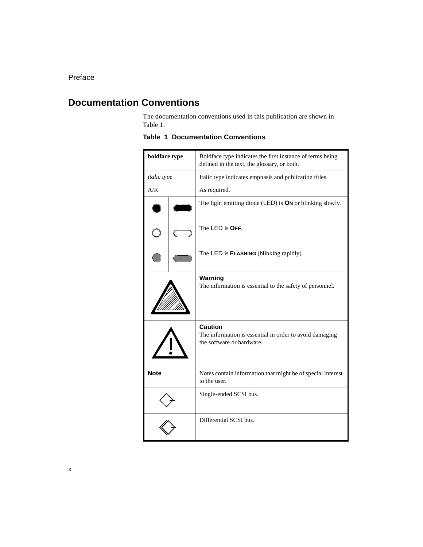# **Documentation Conventions**

The documentation conventions used in this publication are shown in Table 1.

| boldface type      |  | Boldface type indicates the first instance of terms being<br>defined in the text, the glossary, or both. |  |
|--------------------|--|----------------------------------------------------------------------------------------------------------|--|
| <i>italic</i> type |  | Italic type indicates emphasis and publication titles.                                                   |  |
| A/R                |  | As required.                                                                                             |  |
|                    |  | The light emitting diode (LED) is ON or blinking slowly.                                                 |  |
|                    |  | The LED is OFF.                                                                                          |  |
|                    |  | The LED is FLASHING (blinking rapidly).                                                                  |  |
|                    |  | Warning<br>The information is essential to the safety of personnel.                                      |  |
|                    |  | Caution<br>The information is essential in order to avoid damaging<br>the software or hardware.          |  |
| <b>Note</b>        |  | Notes contain information that might be of special interest<br>to the user.                              |  |
|                    |  | Single-ended SCSI bus.                                                                                   |  |
|                    |  | Differential SCSI bus.                                                                                   |  |

**Table 1 Documentation Conventions**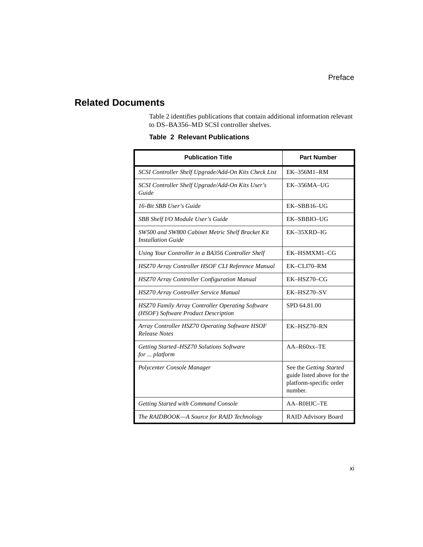# **Related Documents**

Table 2 identifies publications that contain additional information relevant to DS–BA356–MD SCSI controller shelves.

#### **Table 2 Relevant Publications**

| <b>Publication Title</b>                                                                | <b>Part Number</b>                                                                          |
|-----------------------------------------------------------------------------------------|---------------------------------------------------------------------------------------------|
| SCSI Controller Shelf Upgrade/Add-On Kits Check List                                    | EK-356M1-RM                                                                                 |
| SCSI Controller Shelf Upgrade/Add-On Kits User's<br>Guide                               | EK-356MA-UG                                                                                 |
| 16-Bit SBB User's Guide                                                                 | EK-SBB16-UG                                                                                 |
| SBB Shelf I/O Module User's Guide                                                       | EK-SBBIO-UG                                                                                 |
| SW500 and SW800 Cabinet Metric Shelf Bracket Kit<br><b>Installation Guide</b>           | $EK-35XRD-IG$                                                                               |
| Using Your Controller in a BA356 Controller Shelf                                       | EK-HSMXM1-CG                                                                                |
| HSZ70 Array Controller HSOF CLI Reference Manual                                        | EK-CLI70-RM                                                                                 |
| <b>HSZ70 Array Controller Configuration Manual</b>                                      | EK-HSZ70-CG                                                                                 |
| <b>HSZ70 Array Controller Service Manual</b>                                            | EK-HSZ70-SV                                                                                 |
| HSZ70 Family Array Controller Operating Software<br>(HSOF) Software Product Description | SPD 64.81.00                                                                                |
| Array Controller HSZ70 Operating Software HSOF<br><b>Release Notes</b>                  | EK-HSZ70-RN                                                                                 |
| Getting Started–HSZ70 Solutions Software<br>for  platform                               | $AA-R60xx-TE$                                                                               |
| Polycenter Console Manager                                                              | See the Getting Started<br>guide listed above for the<br>platform-specific order<br>number. |
| Getting Started with Command Console                                                    | AA-R0HJC-TE                                                                                 |
| The RAIDBOOK-A Source for RAID Technology                                               | <b>RAID Advisory Board</b>                                                                  |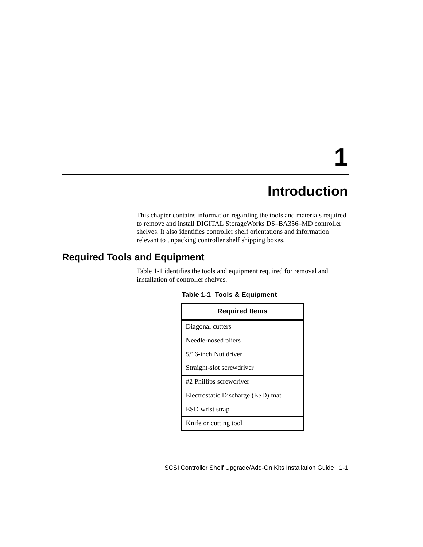# **1**

# **Introduction**

This chapter contains information regarding the tools and materials required to remove and install DIGITAL StorageWorks DS–BA356–MD controller shelves. It also identifies controller shelf orientations and information relevant to unpacking controller shelf shipping boxes.

# **Required Tools and Equipment**

Table 1-1 identifies the tools and equipment required for removal and installation of controller shelves.

| <b>Required Items</b>             |
|-----------------------------------|
| Diagonal cutters                  |
| Needle-nosed pliers               |
| 5/16-inch Nut driver              |
| Straight-slot screwdriver         |
| #2 Phillips screwdriver           |
| Electrostatic Discharge (ESD) mat |
| ESD wrist strap                   |
| Knife or cutting tool             |

**Table 1-1 Tools & Equipment**

SCSI Controller Shelf Upgrade/Add-On Kits Installation Guide 1-1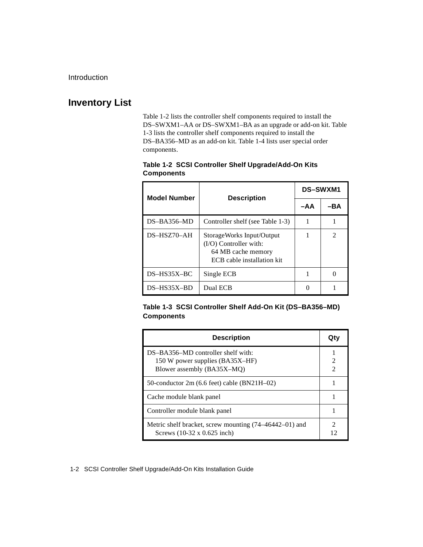# **Inventory List**

Table 1-2 lists the controller shelf components required to install the DS–SWXM1–AA or DS–SWXM1–BA as an upgrade or add-on kit. Table 1-3 lists the controller shelf components required to install the DS–BA356–MD as an add-on kit. Table 1-4 lists user special order components.

| <b>Components</b> |  | Table 1-2 SCSI Controller Shelf Upgrade/Add-On Kits |  |
|-------------------|--|-----------------------------------------------------|--|
|                   |  |                                                     |  |

| <b>Model Number</b> | <b>Description</b>                                                                                         | <b>DS-SWXM1</b> |     |
|---------------------|------------------------------------------------------------------------------------------------------------|-----------------|-----|
|                     |                                                                                                            |                 | -BA |
| $DS-BA356-MD$       | Controller shelf (see Table 1-3)                                                                           |                 |     |
| $DS-HSZ70-AH$       | StorageWorks Input/Output<br>$(I/O)$ Controller with:<br>64 MB cache memory<br>ECB cable installation kit. |                 | 2   |
| $DS-HS35X-BC$       | Single ECB                                                                                                 |                 |     |
| $DS-HS35X-BD$       | Dual ECB                                                                                                   |                 |     |

## **Table 1-3 SCSI Controller Shelf Add-On Kit (DS–BA356–MD) Components**

| <b>Description</b>                                                                                  | Qt             |
|-----------------------------------------------------------------------------------------------------|----------------|
| DS-BA356-MD controller shelf with:<br>150 W power supplies (BA35X–HF)<br>Blower assembly (BA35X-MQ) | $\mathfrak{D}$ |
| 50-conductor $2m(6.6 \text{ feet})$ cable (BN21H-02)                                                |                |
| Cache module blank panel                                                                            |                |
| Controller module blank panel                                                                       |                |
| Metric shelf bracket, screw mounting (74–46442–01) and<br>Screws $(10-32 \times 0.625$ inch)        | 2<br>12        |

1-2 SCSI Controller Shelf Upgrade/Add-On Kits Installation Guide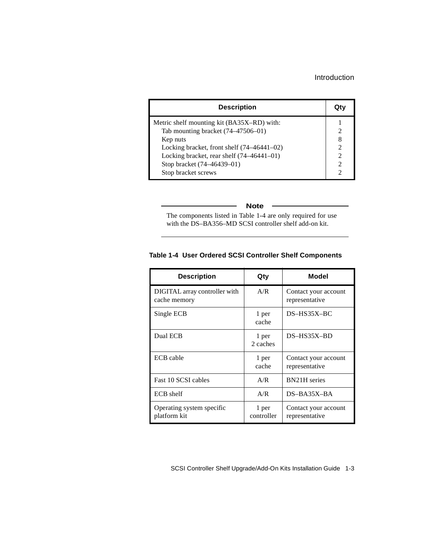| <b>Description</b>                         | Qtv |
|--------------------------------------------|-----|
| Metric shelf mounting kit (BA35X-RD) with: |     |
| Tab mounting bracket (74–47506–01)         |     |
| Kep nuts                                   |     |
| Locking bracket, front shelf (74–46441–02) |     |
| Locking bracket, rear shelf (74-46441-01)  |     |
| Stop bracket (74–46439–01)                 | ∍   |
| Stop bracket screws                        |     |

**Note**

The components listed in Table 1-4 are only required for use with the DS–BA356–MD SCSI controller shelf add-on kit.

# **Table 1-4 User Ordered SCSI Controller Shelf Components**

| <b>Description</b>                            | Qty                 | <b>Model</b>                           |
|-----------------------------------------------|---------------------|----------------------------------------|
| DIGITAL array controller with<br>cache memory | A/R                 | Contact your account<br>representative |
| Single ECB                                    | 1 per<br>cache      | $DS-HS35X-BC$                          |
| Dual ECB                                      | 1 per<br>2 caches   | $DS-HS35X-BD$                          |
| ECB cable                                     | 1 per<br>cache      | Contact your account<br>representative |
| Fast 10 SCSI cables                           | A/R                 | <b>BN21H</b> series                    |
| <b>ECB</b> shelf                              | A/R                 | $DS-BA35X-BA$                          |
| Operating system specific<br>platform kit     | 1 per<br>controller | Contact your account<br>representative |

SCSI Controller Shelf Upgrade/Add-On Kits Installation Guide 1-3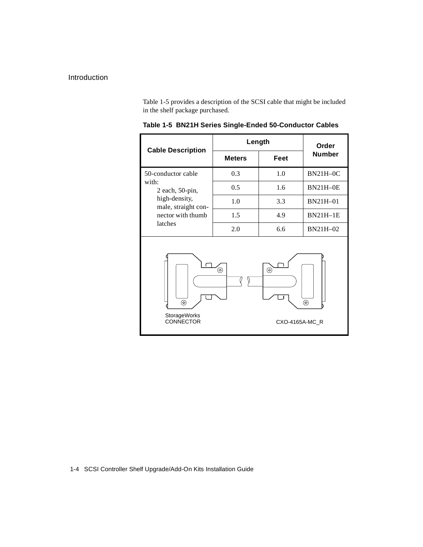Table 1-5 provides a description of the SCSI cable that might be included in the shelf package purchased.

|                                                                                  | Length        |             | Order           |  |
|----------------------------------------------------------------------------------|---------------|-------------|-----------------|--|
| <b>Cable Description</b>                                                         | <b>Meters</b> | <b>Feet</b> | <b>Number</b>   |  |
| 50-conductor cable                                                               | 0.3           | 1.0         | BN21H-0C        |  |
| with:<br>2 each, 50-pin,                                                         | 0.5           | 1.6         | <b>BN21H-0E</b> |  |
| high-density,<br>male, straight con-                                             | 1.0           | 3.3         | BN21H-01        |  |
| nector with thumb                                                                | 1.5           | 4.9         | <b>BN21H-1E</b> |  |
| latches                                                                          | 2.0           | 6.6         | BN21H-02        |  |
| ⊕<br>⊕<br>$\bigoplus$<br>⊕<br><b>StorageWorks</b><br>CONNECTOR<br>CXO-4165A-MC_R |               |             |                 |  |

**Table 1-5 BN21H Series Single-Ended 50-Conductor Cables**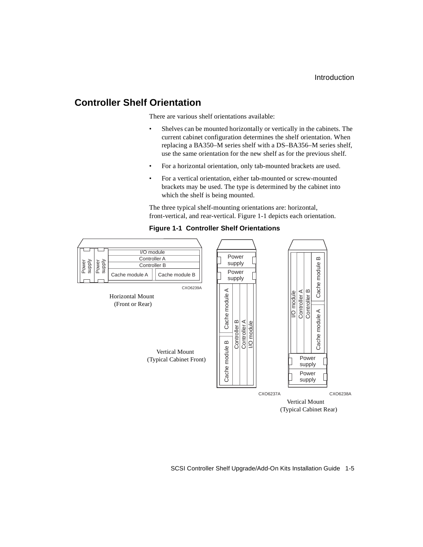# **Controller Shelf Orientation**

There are various shelf orientations available:

- Shelves can be mounted horizontally or vertically in the cabinets. The current cabinet configuration determines the shelf orientation. When replacing a BA350–M series shelf with a DS–BA356–M series shelf, use the same orientation for the new shelf as for the previous shelf.
- For a horizontal orientation, only tab-mounted brackets are used.
- For a vertical orientation, either tab-mounted or screw-mounted brackets may be used. The type is determined by the cabinet into which the shelf is being mounted.

The three typical shelf-mounting orientations are: horizontal, front-vertical, and rear-vertical. Figure 1-1 depicts each orientation.



#### **Figure 1-1 Controller Shelf Orientations**

SCSI Controller Shelf Upgrade/Add-On Kits Installation Guide 1-5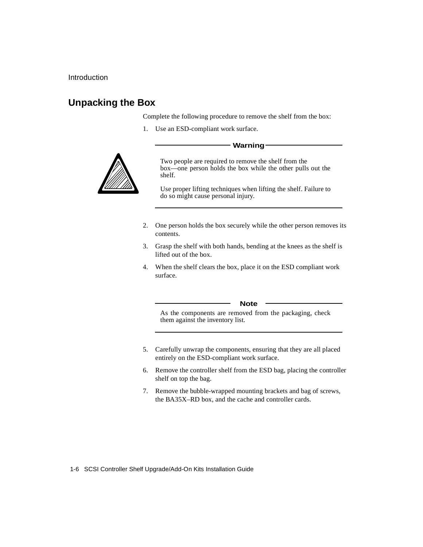# **Unpacking the Box**

Complete the following procedure to remove the shelf from the box:

1. Use an ESD-compliant work surface.



Two people are required to remove the shelf from the box—one person holds the box while the other pulls out the shelf.

**Warning**

Use proper lifting techniques when lifting the shelf. Failure to do so might cause personal injury.

- 2. One person holds the box securely while the other person removes its contents.
- 3. Grasp the shelf with both hands, bending at the knees as the shelf is lifted out of the box.
- 4. When the shelf clears the box, place it on the ESD compliant work surface.

#### **Note**

As the components are removed from the packaging, check them against the inventory list.

- 5. Carefully unwrap the components, ensuring that they are all placed entirely on the ESD-compliant work surface.
- 6. Remove the controller shelf from the ESD bag, placing the controller shelf on top the bag.
- 7. Remove the bubble-wrapped mounting brackets and bag of screws, the BA35X–RD box, and the cache and controller cards.

1-6 SCSI Controller Shelf Upgrade/Add-On Kits Installation Guide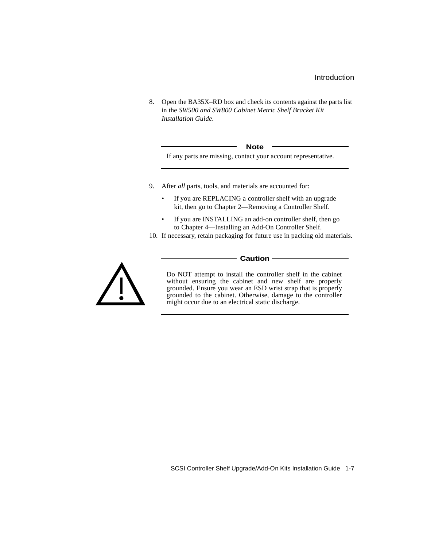8. Open the BA35X–RD box and check its contents against the parts list in the *SW500 and SW800 Cabinet Metric Shelf Bracket Kit Installation Guide*.

If any parts are missing, contact your account representative.

**Note**

9. After *all* parts, tools, and materials are accounted for:

- If you are REPLACING a controller shelf with an upgrade kit, then go to Chapter 2—Removing a Controller Shelf.
- If you are INSTALLING an add-on controller shelf, then go to Chapter 4—Installing an Add-On Controller Shelf.
- 10. If necessary, retain packaging for future use in packing old materials.



#### **Caution**

Do NOT attempt to install the controller shelf in the cabinet without ensuring the cabinet and new shelf are properly grounded. Ensure you wear an ESD wrist strap that is properly grounded to the cabinet. Otherwise, damage to the controller might occur due to an electrical static discharge.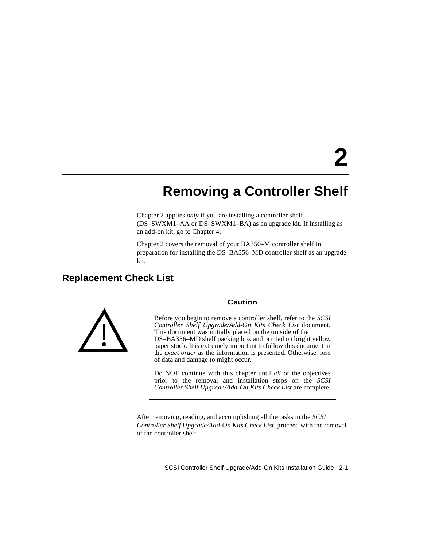# **2**

# **Removing a Controller Shelf**

Chapter 2 applies *only* if you are installing a controller shelf (DS–SWXM1–AA or DS–SWXM1–BA) as an upgrade kit. If installing as an add-on kit, go to Chapter 4.

Chapter 2 covers the removal of your BA350–M controller shelf in preparation for installing the DS–BA356–MD controller shelf as an upgrade kit.

# **Replacement Check List**



**Caution**

Before you begin to remove a controller shelf, refer to the *SCSI Controller Shelf Upgrade/Add-On Kits Check List* document. This document was initially placed on the outside of the DS–BA356–MD shelf packing box and printed on bright yellow paper stock. It is extremely important to follow this document in the *exact order* as the information is presented. Otherwise, loss of data and damage to might occur.

Do NOT continue with this chapter until *all* of the objectives prior to the removal and installation steps on the *SCSI Controller Shelf Upgrade/Add-On Kits Check List* are complete.

After removing, reading, and accomplishing all the tasks in the *SCSI Controller Shelf Upgrade/Add-On Kits Check List*, proceed with the removal of the controller shelf.

SCSI Controller Shelf Upgrade/Add-On Kits Installation Guide 2-1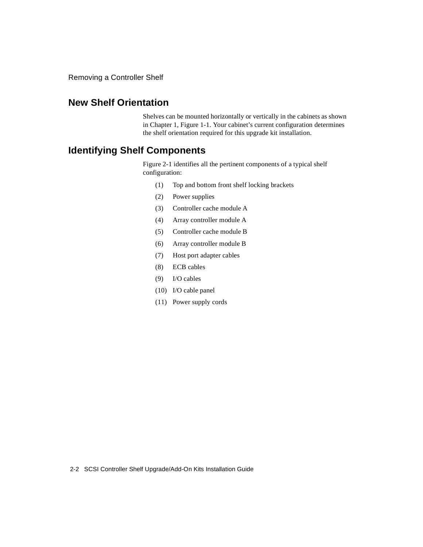# **New Shelf Orientation**

Shelves can be mounted horizontally or vertically in the cabinets as shown in Chapter 1, Figure 1-1. Your cabinet's current configuration determines the shelf orientation required for this upgrade kit installation.

# **Identifying Shelf Components**

Figure 2-1 identifies all the pertinent components of a typical shelf configuration:

- (1) Top and bottom front shelf locking brackets
- (2) Power supplies
- (3) Controller cache module A
- (4) Array controller module A
- (5) Controller cache module B
- (6) Array controller module B
- (7) Host port adapter cables
- (8) ECB cables
- (9) I/O cables
- (10) I/O cable panel
- (11) Power supply cords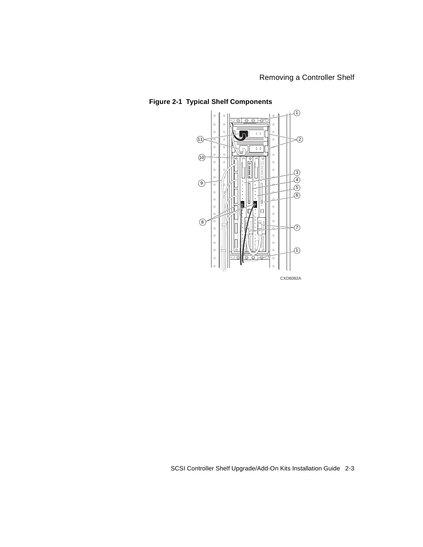

**Figure 2-1 Typical Shelf Components**

SCSI Controller Shelf Upgrade/Add-On Kits Installation Guide 2-3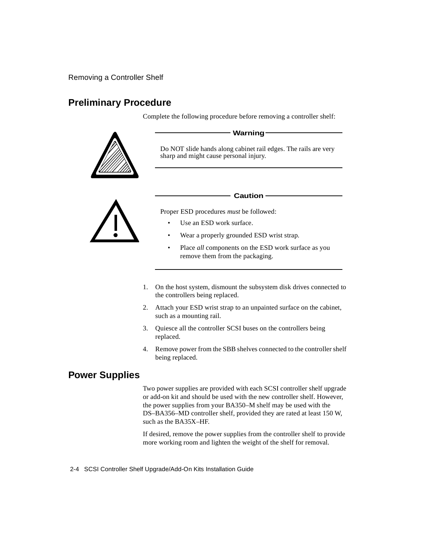# **Preliminary Procedure**

Complete the following procedure before removing a controller shelf:



## **Warning**

Do NOT slide hands along cabinet rail edges. The rails are very sharp and might cause personal injury.

#### **Caution**



Proper ESD procedures *must* be followed:

- Use an ESD work surface.
- Wear a properly grounded ESD wrist strap.
- Place *all* components on the ESD work surface as you remove them from the packaging.
- 1. On the host system, dismount the subsystem disk drives connected to the controllers being replaced.
- 2. Attach your ESD wrist strap to an unpainted surface on the cabinet, such as a mounting rail.
- 3. Quiesce all the controller SCSI buses on the controllers being replaced.
- 4. Remove power from the SBB shelves connected to the controller shelf being replaced.

# **Power Supplies**

Two power supplies are provided with each SCSI controller shelf upgrade or add-on kit and should be used with the new controller shelf. However, the power supplies from your BA350–M shelf may be used with the DS–BA356–MD controller shelf, provided they are rated at least 150 W, such as the BA35X–HF.

If desired, remove the power supplies from the controller shelf to provide more working room and lighten the weight of the shelf for removal.

2-4 SCSI Controller Shelf Upgrade/Add-On Kits Installation Guide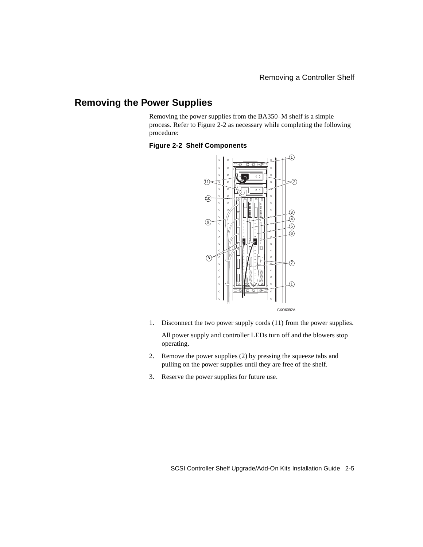# **Removing the Power Supplies**

Removing the power supplies from the BA350–M shelf is a simple process. Refer to Figure 2-2 as necessary while completing the following procedure:

## **Figure 2-2 Shelf Components**



1. Disconnect the two power supply cords (11) from the power supplies.

All power supply and controller LEDs turn off and the blowers stop operating.

- 2. Remove the power supplies (2) by pressing the squeeze tabs and pulling on the power supplies until they are free of the shelf.
- 3. Reserve the power supplies for future use.

SCSI Controller Shelf Upgrade/Add-On Kits Installation Guide 2-5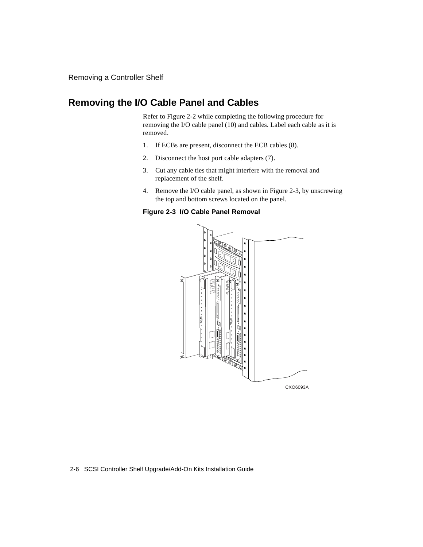# **Removing the I/O Cable Panel and Cables**

Refer to Figure 2-2 while completing the following procedure for removing the I/O cable panel (10) and cables. Label each cable as it is removed.

- 1. If ECBs are present, disconnect the ECB cables (8).
- 2. Disconnect the host port cable adapters (7).
- 3. Cut any cable ties that might interfere with the removal and replacement of the shelf.
- 4. Remove the I/O cable panel, as shown in Figure 2-3, by unscrewing the top and bottom screws located on the panel.

**Figure 2-3 I/O Cable Panel Removal**

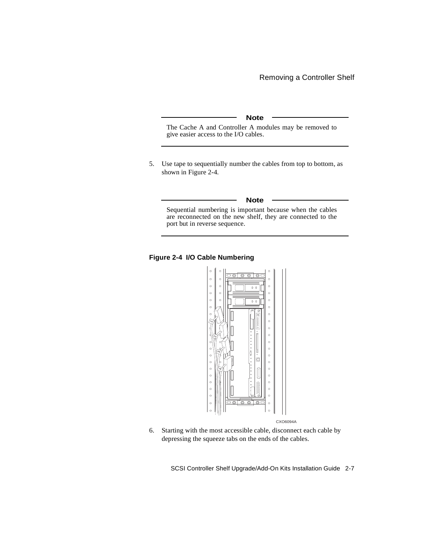#### **Note**

The Cache A and Controller A modules may be removed to give easier access to the I/O cables.

5. Use tape to sequentially number the cables from top to bottom, as shown in Figure 2-4.

**Note**

Sequential numbering is important because when the cables are reconnected on the new shelf, they are connected to the port but in reverse sequence.

**Figure 2-4 I/O Cable Numbering**



6. Starting with the most accessible cable, disconnect each cable by depressing the squeeze tabs on the ends of the cables.

SCSI Controller Shelf Upgrade/Add-On Kits Installation Guide 2-7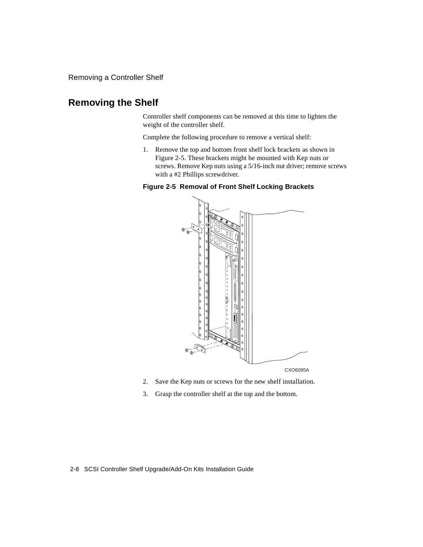# **Removing the Shelf**

Controller shelf components can be removed at this time to lighten the weight of the controller shelf.

Complete the following procedure to remove a vertical shelf:

1. Remove the top and bottom front shelf lock brackets as shown in Figure 2-5. These brackets might be mounted with Kep nuts or screws. Remove Kep nuts using a 5/16-inch nut driver; remove screws with a #2 Phillips screwdriver.





- 2. Save the Kep nuts or screws for the new shelf installation.
- 3. Grasp the controller shelf at the top and the bottom.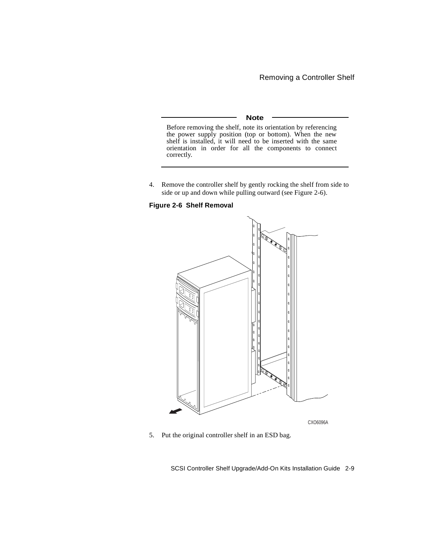#### **Note**

Before removing the shelf, note its orientation by referencing the power supply position (top or bottom). When the new shelf is installed, it will need to be inserted with the same orientation in order for all the components to connect correctly.

4. Remove the controller shelf by gently rocking the shelf from side to side or up and down while pulling outward (see Figure 2-6).

#### **Figure 2-6 Shelf Removal**



5. Put the original controller shelf in an ESD bag.

SCSI Controller Shelf Upgrade/Add-On Kits Installation Guide 2-9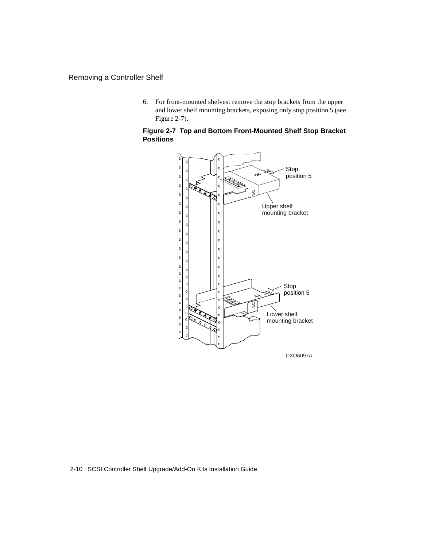6. For front-mounted shelves: remove the stop brackets from the upper and lower shelf mounting brackets, exposing only stop position 5 (see Figure 2-7).





#### 2-10 SCSI Controller Shelf Upgrade/Add-On Kits Installation Guide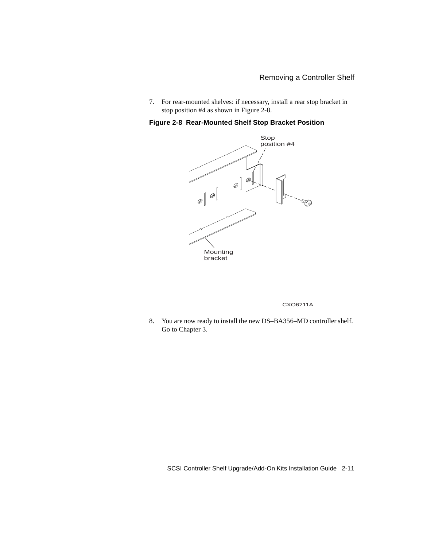7. For rear-mounted shelves: if necessary, install a rear stop bracket in stop position #4 as shown in Figure 2-8.

**Figure 2-8 Rear-Mounted Shelf Stop Bracket Position**



CXO6211A

8. You are now ready to install the new DS–BA356–MD controller shelf. Go to Chapter 3.

SCSI Controller Shelf Upgrade/Add-On Kits Installation Guide 2-11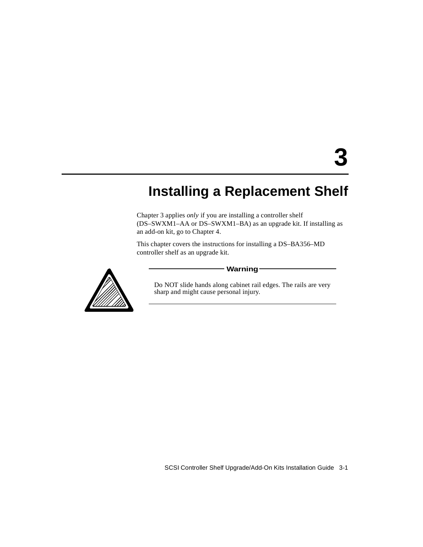# **3**

# **Installing a Replacement Shelf**

Chapter 3 applies *only* if you are installing a controller shelf (DS–SWXM1–AA or DS–SWXM1–BA) as an upgrade kit. If installing as an add-on kit, go to Chapter 4.

This chapter covers the instructions for installing a DS–BA356–MD controller shelf as an upgrade kit.



#### **Warning**

Do NOT slide hands along cabinet rail edges. The rails are very sharp and might cause personal injury.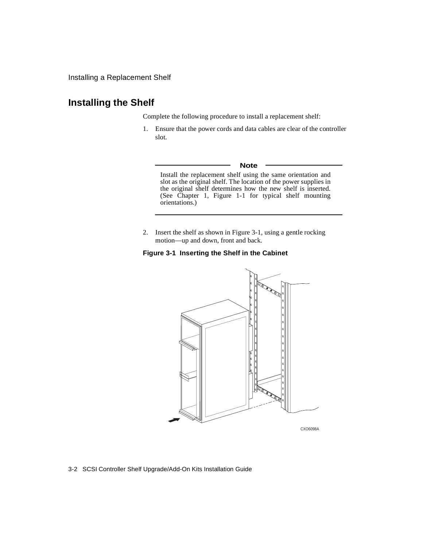# **Installing the Shelf**

Complete the following procedure to install a replacement shelf:

1. Ensure that the power cords and data cables are clear of the controller slot.

#### **Note**

Install the replacement shelf using the same orientation and slot as the original shelf. The location of the power supplies in the original shelf determines how the new shelf is inserted. (See Chapter 1, Figure 1-1 for typical shelf mounting orientations.)

2. Insert the shelf as shown in Figure 3-1, using a gentle rocking motion—up and down, front and back.

#### **Figure 3-1 Inserting the Shelf in the Cabinet**



3-2 SCSI Controller Shelf Upgrade/Add-On Kits Installation Guide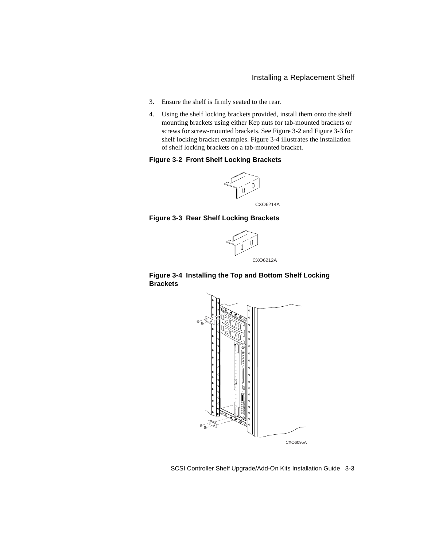- 3. Ensure the shelf is firmly seated to the rear.
- 4. Using the shelf locking brackets provided, install them onto the shelf mounting brackets using either Kep nuts for tab-mounted brackets or screws for screw-mounted brackets. See Figure 3-2 and Figure 3-3 for shelf locking bracket examples. Figure 3-4 illustrates the installation of shelf locking brackets on a tab-mounted bracket.

## **Figure 3-2 Front Shelf Locking Brackets**



#### **Figure 3-3 Rear Shelf Locking Brackets**



## **Figure 3-4 Installing the Top and Bottom Shelf Locking Brackets**



SCSI Controller Shelf Upgrade/Add-On Kits Installation Guide 3-3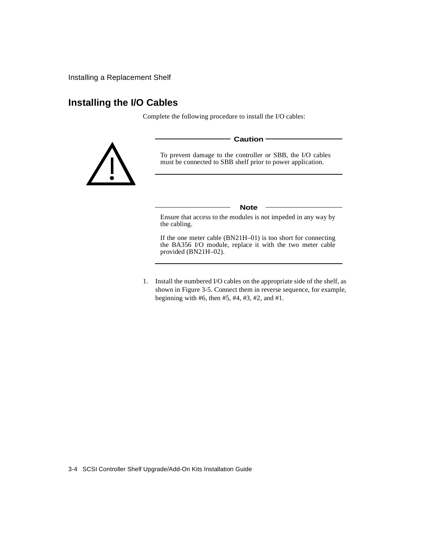# **Installing the I/O Cables**

Complete the following procedure to install the I/O cables:



To prevent damage to the controller or SBB, the I/O cables must be connected to SBB shelf prior to power application.

**Caution**

**Note**

Ensure that access to the modules is not impeded in any way by the cabling.

If the one meter cable (BN21H–01) is too short for connecting the BA356 I/O module, replace it with the two meter cable provided (BN21H–02).

1. Install the numbered I/O cables on the appropriate side of the shelf, as shown in Figure 3-5. Connect them in reverse sequence, for example, beginning with #6, then #5, #4, #3, #2, and #1.

3-4 SCSI Controller Shelf Upgrade/Add-On Kits Installation Guide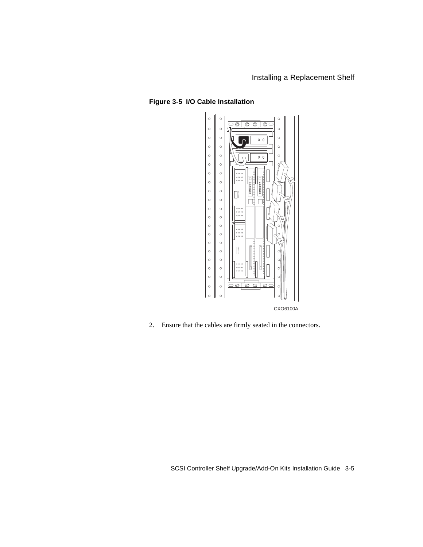

# **Figure 3-5 I/O Cable Installation**

2. Ensure that the cables are firmly seated in the connectors.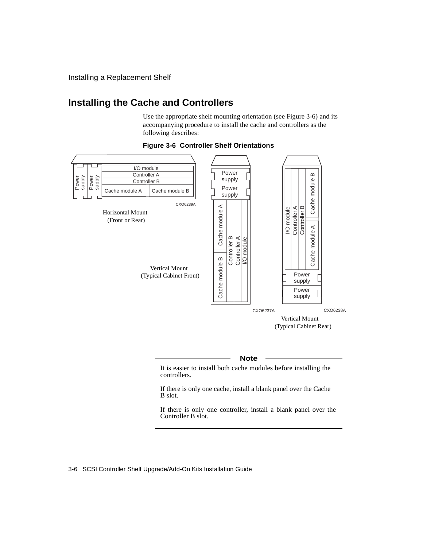# **Installing the Cache and Controllers**

Use the appropriate shelf mounting orientation (see Figure 3-6) and its accompanying procedure to install the cache and controllers as the following describes:



#### **Figure 3-6 Controller Shelf Orientations**

#### **Note**

It is easier to install both cache modules before installing the controllers.

If there is only one cache, install a blank panel over the Cache B slot.

If there is only one controller, install a blank panel over the Controller B slot.

3-6 SCSI Controller Shelf Upgrade/Add-On Kits Installation Guide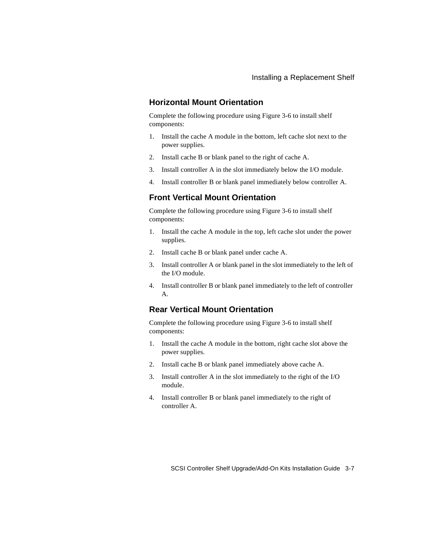# **Horizontal Mount Orientation**

Complete the following procedure using Figure 3-6 to install shelf components:

- 1. Install the cache A module in the bottom, left cache slot next to the power supplies.
- 2. Install cache B or blank panel to the right of cache A.
- 3. Install controller A in the slot immediately below the I/O module.
- 4. Install controller B or blank panel immediately below controller A.

## **Front Vertical Mount Orientation**

Complete the following procedure using Figure 3-6 to install shelf components:

- 1. Install the cache A module in the top, left cache slot under the power supplies.
- 2. Install cache B or blank panel under cache A.
- 3. Install controller A or blank panel in the slot immediately to the left of the I/O module.
- 4. Install controller B or blank panel immediately to the left of controller A.

# **Rear Vertical Mount Orientation**

Complete the following procedure using Figure 3-6 to install shelf components:

- 1. Install the cache A module in the bottom, right cache slot above the power supplies.
- 2. Install cache B or blank panel immediately above cache A.
- 3. Install controller A in the slot immediately to the right of the I/O module.
- 4. Install controller B or blank panel immediately to the right of controller A.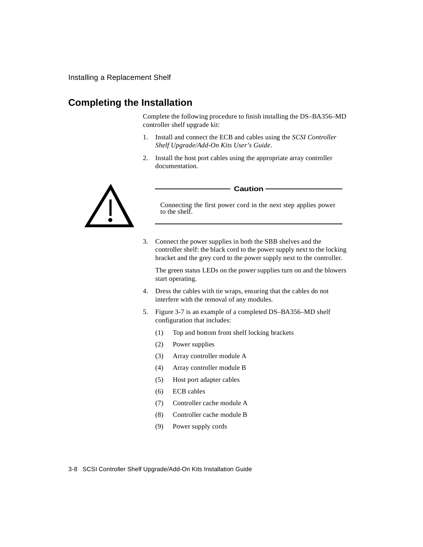# **Completing the Installation**

Complete the following procedure to finish installing the DS–BA356–MD controller shelf upgrade kit:

- 1. Install and connect the ECB and cables using the *SCSI Controller Shelf Upgrade/Add-On Kits User's Guide*.
- 2. Install the host port cables using the appropriate array controller documentation.



#### - Caution **-**

Connecting the first power cord in the next step applies power to the shelf.

3. Connect the power supplies in both the SBB shelves and the controller shelf: the black cord to the power supply next to the locking bracket and the grey cord to the power supply next to the controller.

The green status LEDs on the power supplies turn on and the blowers start operating.

- 4. Dress the cables with tie wraps, ensuring that the cables do not interfere with the removal of any modules.
- 5. Figure 3-7 is an example of a completed DS–BA356–MD shelf configuration that includes:
	- (1) Top and bottom front shelf locking brackets
	- (2) Power supplies
	- (3) Array controller module A
	- (4) Array controller module B
	- (5) Host port adapter cables
	- (6) ECB cables
	- (7) Controller cache module A
	- (8) Controller cache module B
	- (9) Power supply cords
- 3-8 SCSI Controller Shelf Upgrade/Add-On Kits Installation Guide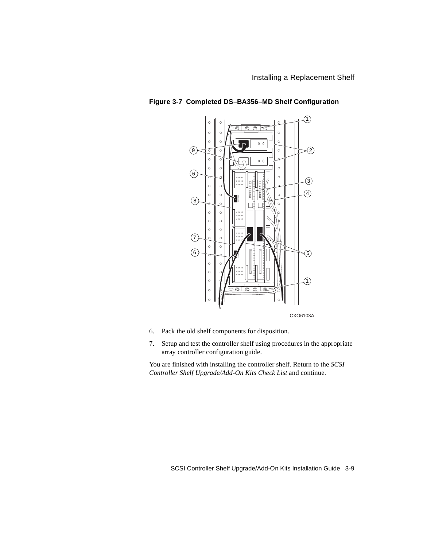

## **Figure 3-7 Completed DS–BA356–MD Shelf Configuration**

- 6. Pack the old shelf components for disposition.
- 7. Setup and test the controller shelf using procedures in the appropriate array controller configuration guide.

You are finished with installing the controller shelf. Return to the *SCSI Controller Shelf Upgrade/Add-On Kits Check List* and continue.

SCSI Controller Shelf Upgrade/Add-On Kits Installation Guide 3-9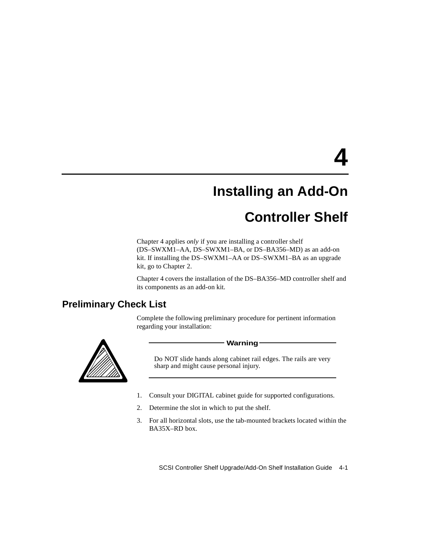**4**

# **Installing an Add-On**

# **Controller Shelf**

Chapter 4 applies *only* if you are installing a controller shelf (DS–SWXM1–AA, DS–SWXM1–BA, or DS–BA356–MD) as an add-on kit. If installing the DS–SWXM1–AA or DS–SWXM1–BA as an upgrade kit, go to Chapter 2.

Chapter 4 covers the installation of the DS–BA356–MD controller shelf and its components as an add-on kit.

# **Preliminary Check List**

Complete the following preliminary procedure for pertinent information regarding your installation:



- Warning -

Do NOT slide hands along cabinet rail edges. The rails are very sharp and might cause personal injury.

- 1. Consult your DIGITAL cabinet guide for supported configurations.
- 2. Determine the slot in which to put the shelf.
- 3. For all horizontal slots, use the tab-mounted brackets located within the BA35X–RD box.

SCSI Controller Shelf Upgrade/Add-On Shelf Installation Guide 4-1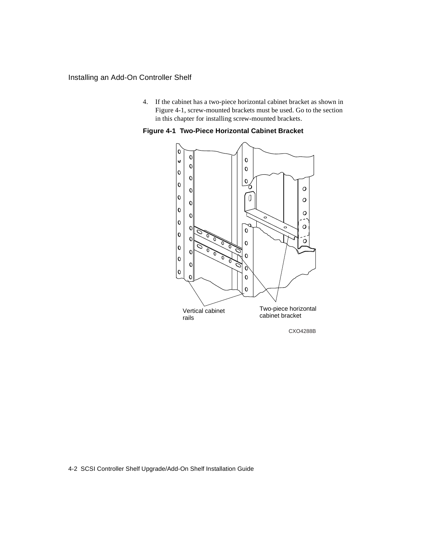# Installing an Add-On Controller Shelf

4. If the cabinet has a two-piece horizontal cabinet bracket as shown in Figure 4-1, screw-mounted brackets must be used. Go to the section in this chapter for installing screw-mounted brackets.



**Figure 4-1 Two-Piece Horizontal Cabinet Bracket**

#### 4-2 SCSI Controller Shelf Upgrade/Add-On Shelf Installation Guide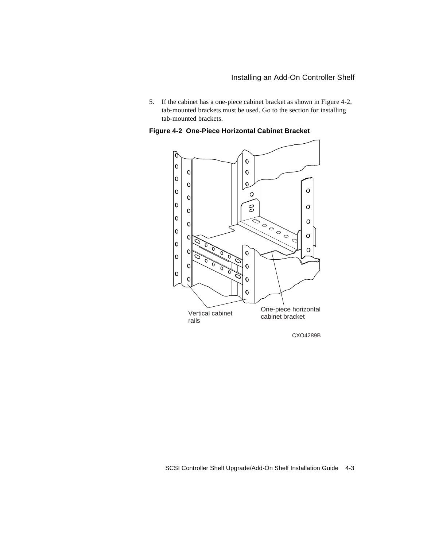5. If the cabinet has a one-piece cabinet bracket as shown in Figure 4-2, tab-mounted brackets must be used. Go to the section for installing tab-mounted brackets.

**Figure 4-2 One-Piece Horizontal Cabinet Bracket**



CXO4289B

SCSI Controller Shelf Upgrade/Add-On Shelf Installation Guide 4-3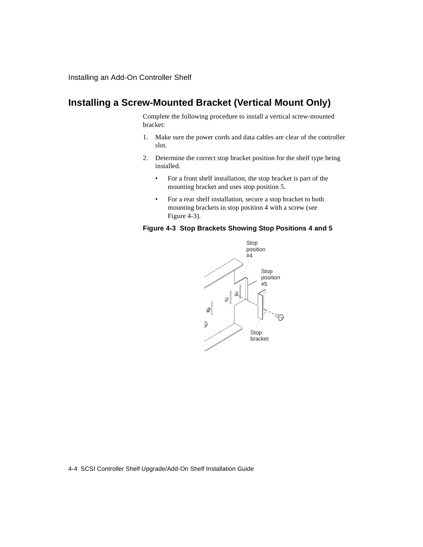Installing an Add-On Controller Shelf

# **Installing a Screw-Mounted Bracket (Vertical Mount Only)**

Complete the following procedure to install a vertical screw-mounted bracket:

- 1. Make sure the power cords and data cables are clear of the controller slot.
- 2. Determine the correct stop bracket position for the shelf type being installed.
	- For a front shelf installation, the stop bracket is part of the mounting bracket and uses stop position 5.
	- For a rear shelf installation, secure a stop bracket to both mounting brackets in stop position 4 with a screw (see Figure 4-3).

#### **Figure 4-3 Stop Brackets Showing Stop Positions 4 and 5**

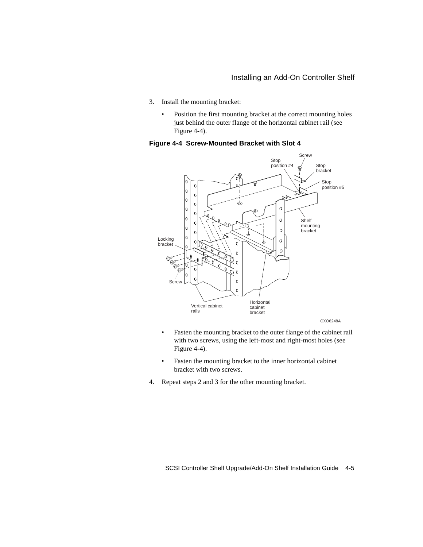- 3. Install the mounting bracket:
	- Position the first mounting bracket at the correct mounting holes just behind the outer flange of the horizontal cabinet rail (see Figure 4-4).



#### **Figure 4-4 Screw-Mounted Bracket with Slot 4**

- Fasten the mounting bracket to the outer flange of the cabinet rail with two screws, using the left-most and right-most holes (see Figure 4-4).
- Fasten the mounting bracket to the inner horizontal cabinet bracket with two screws.
- 4. Repeat steps 2 and 3 for the other mounting bracket.

SCSI Controller Shelf Upgrade/Add-On Shelf Installation Guide 4-5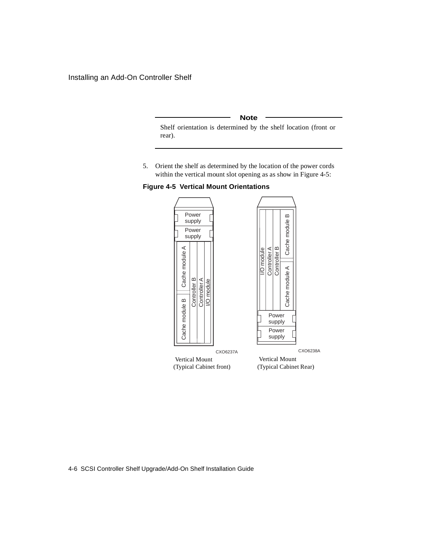**Note**

Shelf orientation is determined by the shelf location (front or rear).

5. Orient the shelf as determined by the location of the power cords within the vertical mount slot opening as as show in Figure 4-5:

**Figure 4-5 Vertical Mount Orientations**

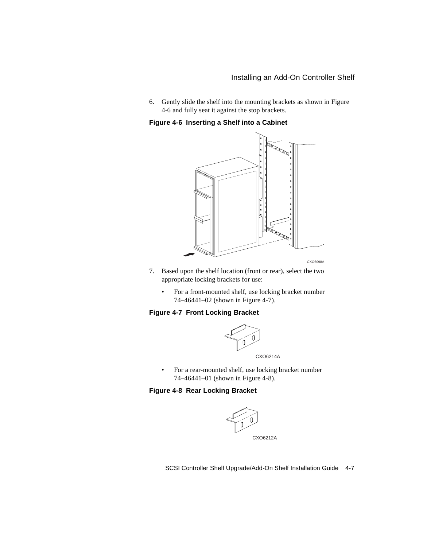6. Gently slide the shelf into the mounting brackets as shown in Figure 4-6 and fully seat it against the stop brackets.

**Figure 4-6 Inserting a Shelf into a Cabinet**



- 7. Based upon the shelf location (front or rear), select the two appropriate locking brackets for use:
	- For a front-mounted shelf, use locking bracket number 74–46441–02 (shown in Figure 4-7).

## **Figure 4-7 Front Locking Bracket**



• For a rear-mounted shelf, use locking bracket number 74–46441–01 (shown in Figure 4-8).

#### **Figure 4-8 Rear Locking Bracket**



SCSI Controller Shelf Upgrade/Add-On Shelf Installation Guide 4-7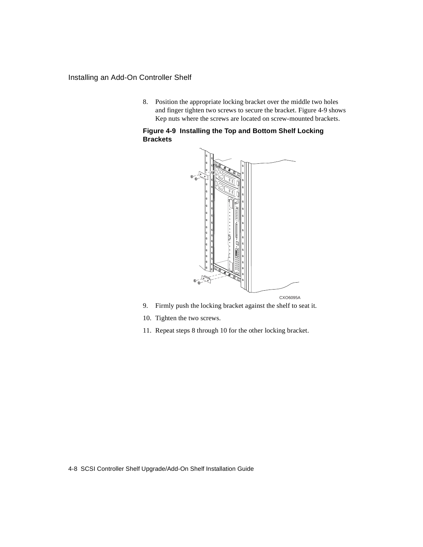## Installing an Add-On Controller Shelf

8. Position the appropriate locking bracket over the middle two holes and finger tighten two screws to secure the bracket. Figure 4-9 shows Kep nuts where the screws are located on screw-mounted brackets.

#### **Figure 4-9 Installing the Top and Bottom Shelf Locking Brackets**



- 9. Firmly push the locking bracket against the shelf to seat it.
- 10. Tighten the two screws.
- 11. Repeat steps 8 through 10 for the other locking bracket.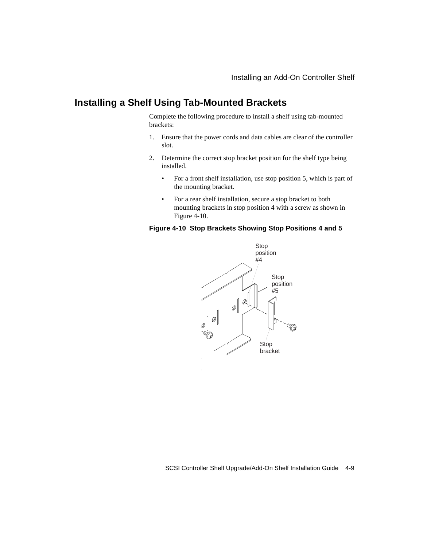# **Installing a Shelf Using Tab-Mounted Brackets**

Complete the following procedure to install a shelf using tab-mounted brackets:

- 1. Ensure that the power cords and data cables are clear of the controller slot.
- 2. Determine the correct stop bracket position for the shelf type being installed.
	- For a front shelf installation, use stop position 5, which is part of the mounting bracket.
	- For a rear shelf installation, secure a stop bracket to both mounting brackets in stop position 4 with a screw as shown in Figure 4-10.

## **Figure 4-10 Stop Brackets Showing Stop Positions 4 and 5**

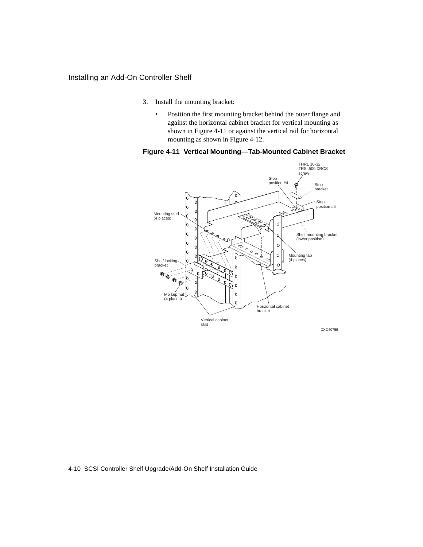## Installing an Add-On Controller Shelf

- 3. Install the mounting bracket:
	- Position the first mounting bracket behind the outer flange and against the horizontal cabinet bracket for vertical mounting as shown in Figure 4-11 or against the vertical rail for horizontal mounting as shown in Figure 4-12.





4-10 SCSI Controller Shelf Upgrade/Add-On Shelf Installation Guide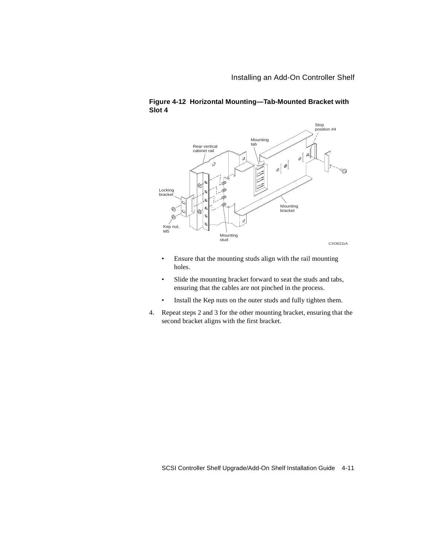

#### **Figure 4-12 Horizontal Mounting—Tab-Mounted Bracket with Slot 4**

- Ensure that the mounting studs align with the rail mounting holes.
- Slide the mounting bracket forward to seat the studs and tabs, ensuring that the cables are not pinched in the process.
- Install the Kep nuts on the outer studs and fully tighten them.
- 4. Repeat steps 2 and 3 for the other mounting bracket, ensuring that the second bracket aligns with the first bracket.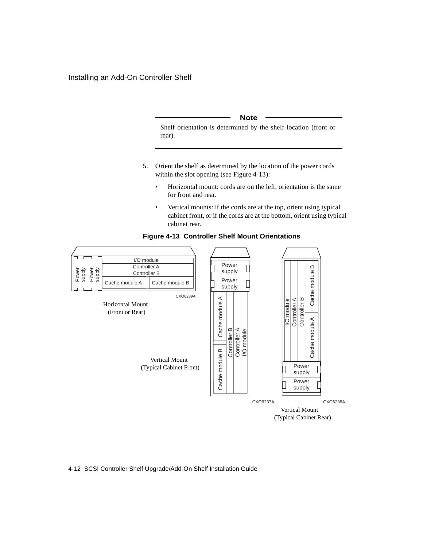Installing an Add-On Controller Shelf

#### **Note**

Shelf orientation is determined by the shelf location (front or rear).

- 5. Orient the shelf as determined by the location of the power cords within the slot opening (see Figure 4-13):
	- Horizontal mount: cords are on the left, orientation is the same for front and rear.
	- Vertical mounts: if the cords are at the top, orient using typical cabinet front, or if the cords are at the bottom, orient using typical cabinet rear.



#### **Figure 4-13 Controller Shelf Mount Orientations**

4-12 SCSI Controller Shelf Upgrade/Add-On Shelf Installation Guide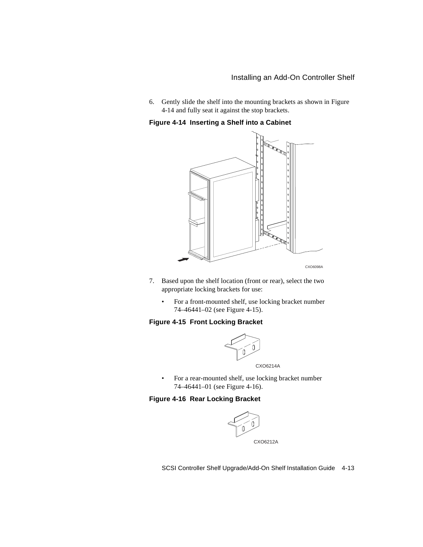6. Gently slide the shelf into the mounting brackets as shown in Figure 4-14 and fully seat it against the stop brackets.

**Figure 4-14 Inserting a Shelf into a Cabinet**



- 7. Based upon the shelf location (front or rear), select the two appropriate locking brackets for use:
	- For a front-mounted shelf, use locking bracket number 74–46441–02 (see Figure 4-15).

## **Figure 4-15 Front Locking Bracket**



• For a rear-mounted shelf, use locking bracket number 74–46441–01 (see Figure 4-16).

#### **Figure 4-16 Rear Locking Bracket**



SCSI Controller Shelf Upgrade/Add-On Shelf Installation Guide 4-13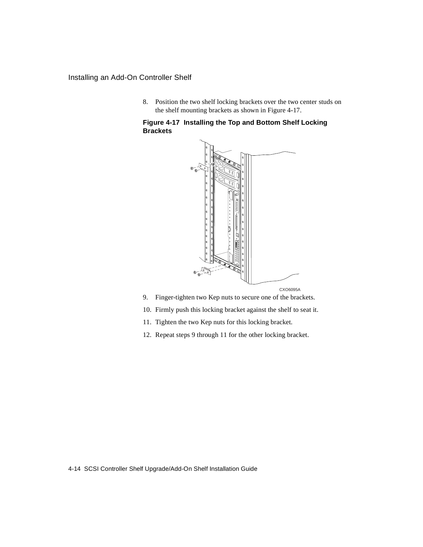## Installing an Add-On Controller Shelf

8. Position the two shelf locking brackets over the two center studs on the shelf mounting brackets as shown in Figure 4-17.

#### **Figure 4-17 Installing the Top and Bottom Shelf Locking Brackets**



- 9. Finger-tighten two Kep nuts to secure one of the brackets.
- 10. Firmly push this locking bracket against the shelf to seat it.
- 11. Tighten the two Kep nuts for this locking bracket.
- 12. Repeat steps 9 through 11 for the other locking bracket.

4-14 SCSI Controller Shelf Upgrade/Add-On Shelf Installation Guide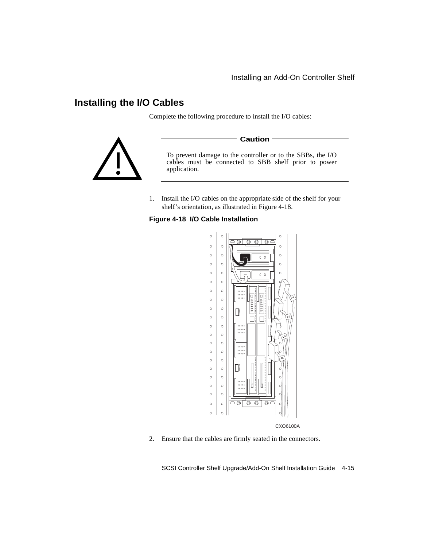# **Installing the I/O Cables**

Complete the following procedure to install the I/O cables:



1. Install the I/O cables on the appropriate side of the shelf for your shelf's orientation, as illustrated in Figure 4-18.

#### **Figure 4-18 I/O Cable Installation**



2. Ensure that the cables are firmly seated in the connectors.

SCSI Controller Shelf Upgrade/Add-On Shelf Installation Guide 4-15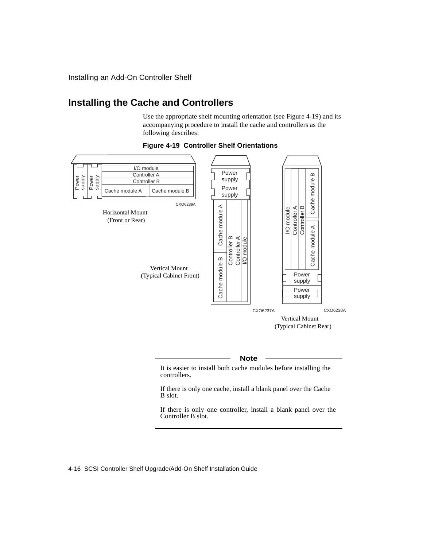Installing an Add-On Controller Shelf

# **Installing the Cache and Controllers**

Use the appropriate shelf mounting orientation (see Figure 4-19) and its accompanying procedure to install the cache and controllers as the following describes:



#### **Figure 4-19 Controller Shelf Orientations**

#### **Note**

It is easier to install both cache modules before installing the controllers.

If there is only one cache, install a blank panel over the Cache B slot.

If there is only one controller, install a blank panel over the Controller B slot.

4-16 SCSI Controller Shelf Upgrade/Add-On Shelf Installation Guide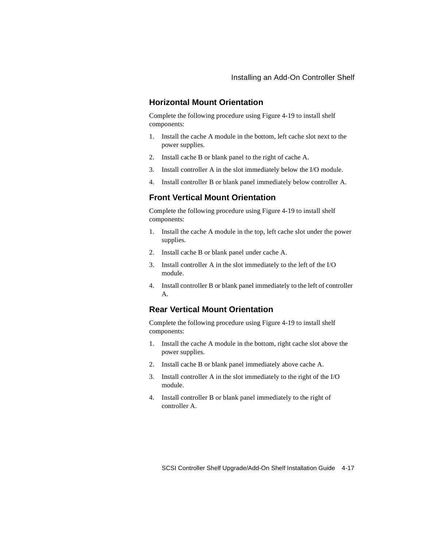# **Horizontal Mount Orientation**

Complete the following procedure using Figure 4-19 to install shelf components:

- 1. Install the cache A module in the bottom, left cache slot next to the power supplies.
- 2. Install cache B or blank panel to the right of cache A.
- 3. Install controller A in the slot immediately below the I/O module.
- 4. Install controller B or blank panel immediately below controller A.

# **Front Vertical Mount Orientation**

Complete the following procedure using Figure 4-19 to install shelf components:

- 1. Install the cache A module in the top, left cache slot under the power supplies.
- 2. Install cache B or blank panel under cache A.
- 3. Install controller A in the slot immediately to the left of the I/O module.
- 4. Install controller B or blank panel immediately to the left of controller A.

# **Rear Vertical Mount Orientation**

Complete the following procedure using Figure 4-19 to install shelf components:

- 1. Install the cache A module in the bottom, right cache slot above the power supplies.
- 2. Install cache B or blank panel immediately above cache A.
- 3. Install controller A in the slot immediately to the right of the I/O module.
- 4. Install controller B or blank panel immediately to the right of controller A.

SCSI Controller Shelf Upgrade/Add-On Shelf Installation Guide 4-17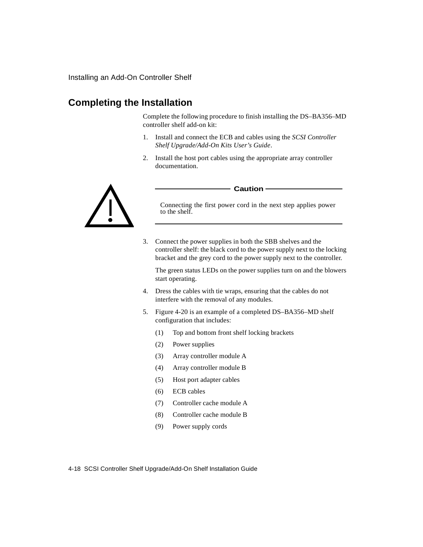Installing an Add-On Controller Shelf

# **Completing the Installation**

Complete the following procedure to finish installing the DS–BA356–MD controller shelf add-on kit:

- 1. Install and connect the ECB and cables using the *SCSI Controller Shelf Upgrade/Add-On Kits User's Guide*.
- 2. Install the host port cables using the appropriate array controller documentation.



#### - Caution -

Connecting the first power cord in the next step applies power to the shelf.

3. Connect the power supplies in both the SBB shelves and the controller shelf: the black cord to the power supply next to the locking bracket and the grey cord to the power supply next to the controller.

The green status LEDs on the power supplies turn on and the blowers start operating.

- 4. Dress the cables with tie wraps, ensuring that the cables do not interfere with the removal of any modules.
- 5. Figure 4-20 is an example of a completed DS–BA356–MD shelf configuration that includes:
	- (1) Top and bottom front shelf locking brackets
	- (2) Power supplies
	- (3) Array controller module A
	- (4) Array controller module B
	- (5) Host port adapter cables
	- (6) ECB cables
	- (7) Controller cache module A
	- (8) Controller cache module B
	- (9) Power supply cords

4-18 SCSI Controller Shelf Upgrade/Add-On Shelf Installation Guide